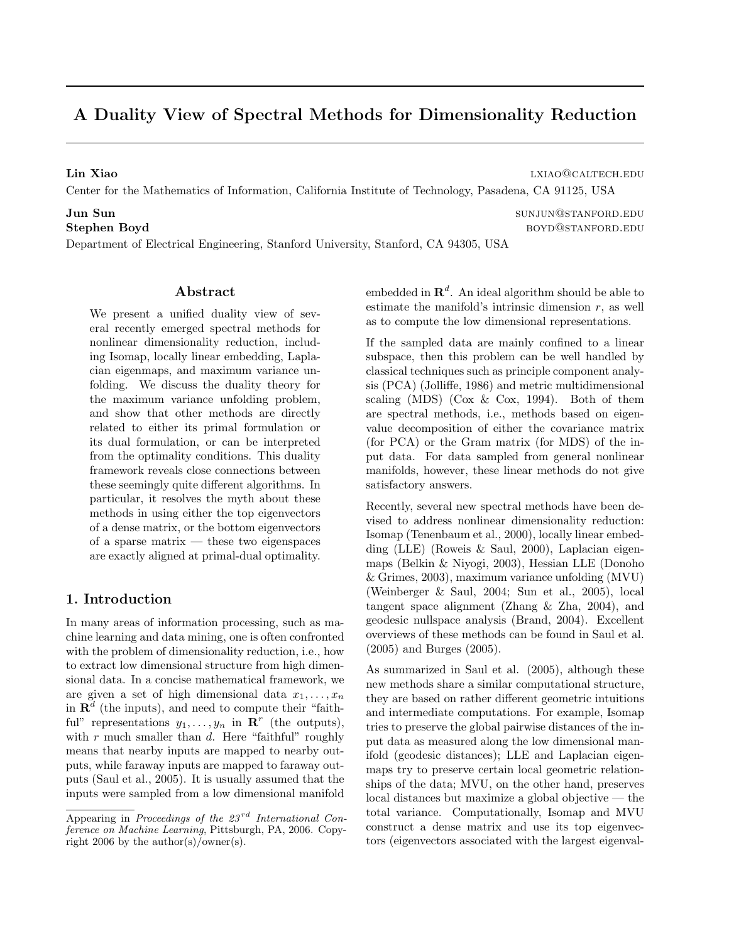# A Duality View of Spectral Methods for Dimensionality Reduction

Lin Xiao lxiao lxiao lxiao lxiao lxiao lxiao lxiao lxiao lxiao lxiao lxiao lxiao lxiao lxiao lxiao lxiao lxiao lxiao lxiao lxiao lxiao lxiao lxiao lxiao lxiao lxiao lxiao lxiao lxiao lxiao lxiao lxiao lxiao lxiao lxiao lxi Center for the Mathematics of Information, California Institute of Technology, Pasadena, CA 91125, USA

**Jun Sun** sunjun@stanFord.edu Stephen Boyd boyd@stanford.edu

Department of Electrical Engineering, Stanford University, Stanford, CA 94305, USA

# Abstract

We present a unified duality view of several recently emerged spectral methods for nonlinear dimensionality reduction, including Isomap, locally linear embedding, Laplacian eigenmaps, and maximum variance unfolding. We discuss the duality theory for the maximum variance unfolding problem, and show that other methods are directly related to either its primal formulation or its dual formulation, or can be interpreted from the optimality conditions. This duality framework reveals close connections between these seemingly quite different algorithms. In particular, it resolves the myth about these methods in using either the top eigenvectors of a dense matrix, or the bottom eigenvectors of a sparse matrix — these two eigenspaces are exactly aligned at primal-dual optimality.

# 1. Introduction

In many areas of information processing, such as machine learning and data mining, one is often confronted with the problem of dimensionality reduction, i.e., how to extract low dimensional structure from high dimensional data. In a concise mathematical framework, we are given a set of high dimensional data  $x_1, \ldots, x_n$ in  $\mathbf{R}^d$  (the inputs), and need to compute their "faithful" representations  $y_1, \ldots, y_n$  in  $\mathbb{R}^r$  (the outputs), with  $r$  much smaller than  $d$ . Here "faithful" roughly means that nearby inputs are mapped to nearby outputs, while faraway inputs are mapped to faraway outputs (Saul et al., 2005). It is usually assumed that the inputs were sampled from a low dimensional manifold

embedded in  $\mathbf{R}^d$ . An ideal algorithm should be able to estimate the manifold's intrinsic dimension  $r$ , as well as to compute the low dimensional representations.

If the sampled data are mainly confined to a linear subspace, then this problem can be well handled by classical techniques such as principle component analysis (PCA) (Jolliffe, 1986) and metric multidimensional scaling (MDS) (Cox  $\&$  Cox, 1994). Both of them are spectral methods, i.e., methods based on eigenvalue decomposition of either the covariance matrix (for PCA) or the Gram matrix (for MDS) of the input data. For data sampled from general nonlinear manifolds, however, these linear methods do not give satisfactory answers.

Recently, several new spectral methods have been devised to address nonlinear dimensionality reduction: Isomap (Tenenbaum et al., 2000), locally linear embedding (LLE) (Roweis & Saul, 2000), Laplacian eigenmaps (Belkin & Niyogi, 2003), Hessian LLE (Donoho & Grimes, 2003), maximum variance unfolding (MVU) (Weinberger & Saul, 2004; Sun et al., 2005), local tangent space alignment (Zhang & Zha, 2004), and geodesic nullspace analysis (Brand, 2004). Excellent overviews of these methods can be found in Saul et al. (2005) and Burges (2005).

As summarized in Saul et al. (2005), although these new methods share a similar computational structure, they are based on rather different geometric intuitions and intermediate computations. For example, Isomap tries to preserve the global pairwise distances of the input data as measured along the low dimensional manifold (geodesic distances); LLE and Laplacian eigenmaps try to preserve certain local geometric relationships of the data; MVU, on the other hand, preserves local distances but maximize a global objective — the total variance. Computationally, Isomap and MVU construct a dense matrix and use its top eigenvectors (eigenvectors associated with the largest eigenval-

Appearing in Proceedings of the  $23^{rd}$  International Conference on Machine Learning, Pittsburgh, PA, 2006. Copyright 2006 by the author(s)/owner(s).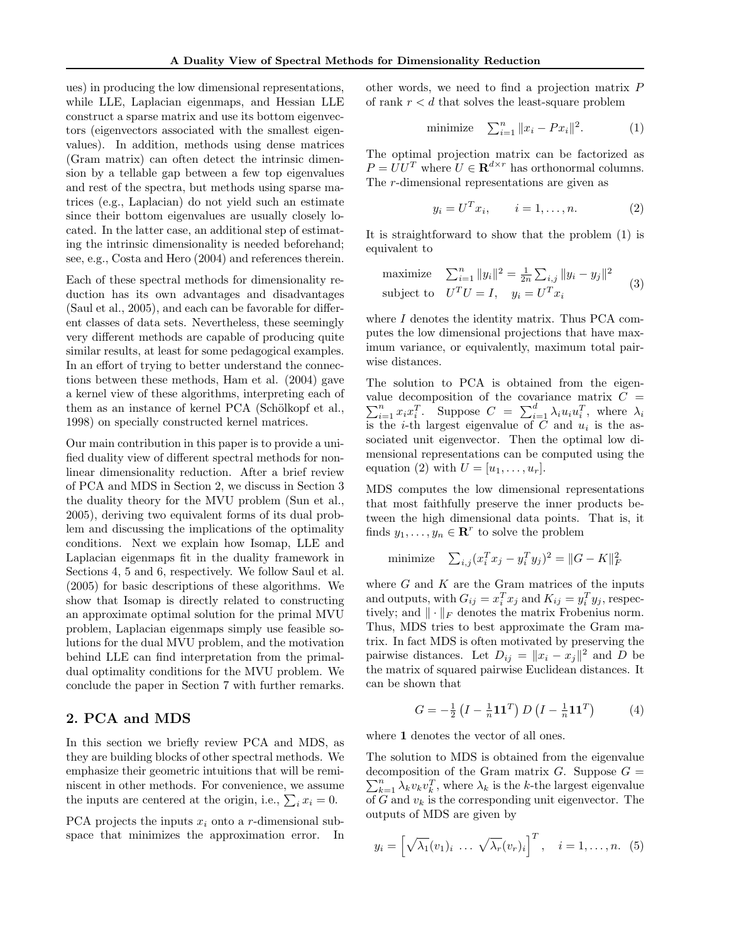ues) in producing the low dimensional representations, while LLE, Laplacian eigenmaps, and Hessian LLE construct a sparse matrix and use its bottom eigenvectors (eigenvectors associated with the smallest eigenvalues). In addition, methods using dense matrices (Gram matrix) can often detect the intrinsic dimension by a tellable gap between a few top eigenvalues and rest of the spectra, but methods using sparse matrices (e.g., Laplacian) do not yield such an estimate since their bottom eigenvalues are usually closely located. In the latter case, an additional step of estimating the intrinsic dimensionality is needed beforehand; see, e.g., Costa and Hero (2004) and references therein.

Each of these spectral methods for dimensionality reduction has its own advantages and disadvantages (Saul et al., 2005), and each can be favorable for different classes of data sets. Nevertheless, these seemingly very different methods are capable of producing quite similar results, at least for some pedagogical examples. In an effort of trying to better understand the connections between these methods, Ham et al. (2004) gave a kernel view of these algorithms, interpreting each of them as an instance of kernel PCA (Schölkopf et al., 1998) on specially constructed kernel matrices.

Our main contribution in this paper is to provide a unified duality view of different spectral methods for nonlinear dimensionality reduction. After a brief review of PCA and MDS in Section 2, we discuss in Section 3 the duality theory for the MVU problem (Sun et al., 2005), deriving two equivalent forms of its dual problem and discussing the implications of the optimality conditions. Next we explain how Isomap, LLE and Laplacian eigenmaps fit in the duality framework in Sections 4, 5 and 6, respectively. We follow Saul et al. (2005) for basic descriptions of these algorithms. We show that Isomap is directly related to constructing an approximate optimal solution for the primal MVU problem, Laplacian eigenmaps simply use feasible solutions for the dual MVU problem, and the motivation behind LLE can find interpretation from the primaldual optimality conditions for the MVU problem. We conclude the paper in Section 7 with further remarks.

# 2. PCA and MDS

In this section we briefly review PCA and MDS, as they are building blocks of other spectral methods. We emphasize their geometric intuitions that will be reminiscent in other methods. For convenience, we assume the inputs are centered at the origin, i.e.,  $\sum_i x_i = 0$ .

PCA projects the inputs  $x_i$  onto a r-dimensional subspace that minimizes the approximation error. In other words, we need to find a projection matrix P of rank  $r < d$  that solves the least-square problem

minimize 
$$
\sum_{i=1}^{n} ||x_i - Px_i||^2
$$
. (1)

The optimal projection matrix can be factorized as  $P = U U^T$  where  $U \in \mathbf{R}^{d \times r}$  has orthonormal columns. The r-dimensional representations are given as

$$
y_i = U^T x_i, \qquad i = 1, \dots, n. \tag{2}
$$

It is straightforward to show that the problem (1) is equivalent to

maximize 
$$
\sum_{i=1}^{n} ||y_i||^2 = \frac{1}{2n} \sum_{i,j} ||y_i - y_j||^2
$$
 (3)  
subject to  $U^T U = I$ ,  $y_i = U^T x_i$ 

where  $I$  denotes the identity matrix. Thus PCA computes the low dimensional projections that have maximum variance, or equivalently, maximum total pairwise distances.

The solution to PCA is obtained from the eigenvalue decomposition of the covariance matrix  $C = \sum_{i=1}^{n} x_i x_i^T$ . Suppose  $C = \sum_{i=1}^{d} \lambda_i u_i u_i^T$ , where  $\lambda_i$ is the *i*-th largest eigenvalue of  $C$  and  $u_i$  is the associated unit eigenvector. Then the optimal low dimensional representations can be computed using the equation (2) with  $U = [u_1, \ldots, u_r]$ .

MDS computes the low dimensional representations that most faithfully preserve the inner products between the high dimensional data points. That is, it finds  $y_1, \ldots, y_n \in \mathbb{R}^r$  to solve the problem

minimize 
$$
\sum_{i,j} (x_i^T x_j - y_i^T y_j)^2 = ||G - K||_F^2
$$

where  $G$  and  $K$  are the Gram matrices of the inputs and outputs, with  $G_{ij} = x_i^T x_j$  and  $K_{ij} = y_i^T y_j$ , respectively; and  $\|\cdot\|_F$  denotes the matrix Frobenius norm. Thus, MDS tries to best approximate the Gram matrix. In fact MDS is often motivated by preserving the pairwise distances. Let  $D_{ij} = ||x_i - x_j||^2$  and D be the matrix of squared pairwise Euclidean distances. It can be shown that

$$
G = -\frac{1}{2} \left( I - \frac{1}{n} \mathbf{1} \mathbf{1}^T \right) D \left( I - \frac{1}{n} \mathbf{1} \mathbf{1}^T \right) \tag{4}
$$

where 1 denotes the vector of all ones.

The solution to MDS is obtained from the eigenvalue  $\sum_{k=1}^{n} \bar{\lambda}_k v_k v_k^T$ , where  $\lambda_k$  is the k-the largest eigenvalue decomposition of the Gram matrix  $G$ . Suppose  $G =$ of  $G$  and  $v_k$  is the corresponding unit eigenvector. The outputs of MDS are given by

$$
y_i = \left[\sqrt{\lambda_1}(v_1)_i \dots \sqrt{\lambda_r}(v_r)_i\right]^T, \quad i = 1, \dots, n. \tag{5}
$$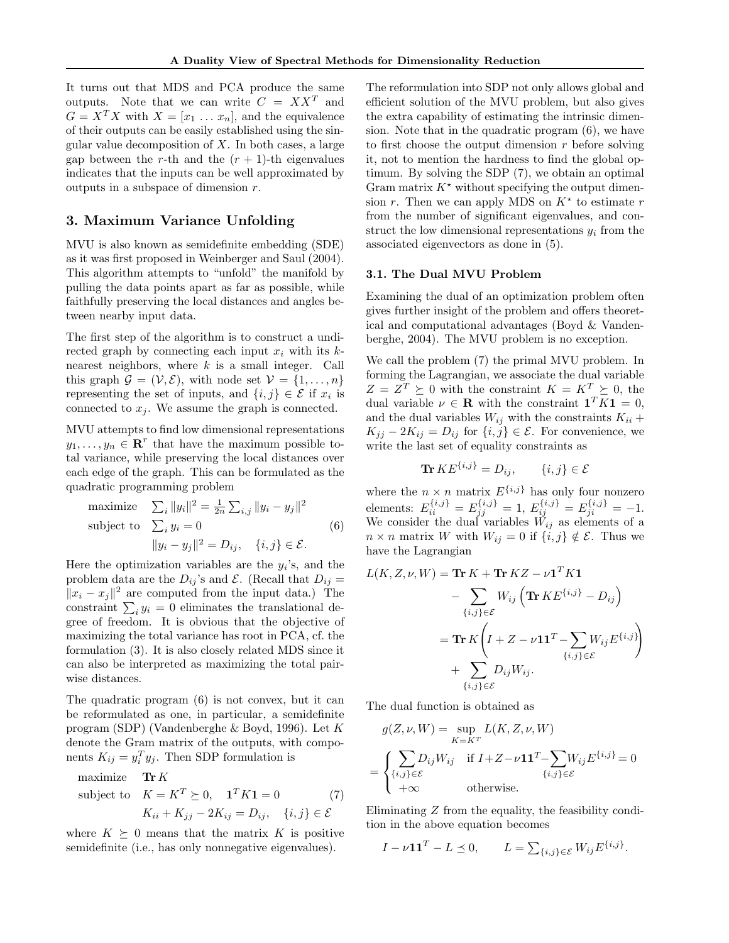It turns out that MDS and PCA produce the same outputs. Note that we can write  $C = XX^T$  and  $G = X^T X$  with  $X = [x_1 \dots x_n]$ , and the equivalence of their outputs can be easily established using the singular value decomposition of  $X$ . In both cases, a large gap between the r-th and the  $(r + 1)$ -th eigenvalues indicates that the inputs can be well approximated by outputs in a subspace of dimension r.

# 3. Maximum Variance Unfolding

MVU is also known as semidefinite embedding (SDE) as it was first proposed in Weinberger and Saul (2004). This algorithm attempts to "unfold" the manifold by pulling the data points apart as far as possible, while faithfully preserving the local distances and angles between nearby input data.

The first step of the algorithm is to construct a undirected graph by connecting each input  $x_i$  with its  $k$ nearest neighbors, where  $k$  is a small integer. Call this graph  $\mathcal{G} = (\mathcal{V}, \mathcal{E})$ , with node set  $\mathcal{V} = \{1, \ldots, n\}$ representing the set of inputs, and  $\{i, j\} \in \mathcal{E}$  if  $x_i$  is connected to  $x_j$ . We assume the graph is connected.

MVU attempts to find low dimensional representations  $y_1, \ldots, y_n \in \mathbb{R}^r$  that have the maximum possible total variance, while preserving the local distances over each edge of the graph. This can be formulated as the quadratic programming problem

maximize 
$$
\sum_{i} ||y_i||^2 = \frac{1}{2n} \sum_{i,j} ||y_i - y_j||^2
$$
  
subject to 
$$
\sum_{i} y_i = 0
$$

$$
||y_i - y_j||^2 = D_{ij}, \quad \{i, j\} \in \mathcal{E}.
$$

$$
(6)
$$

Here the optimization variables are the  $y_i$ 's, and the problem data are the  $D_{ij}$ 's and  $\mathcal{E}$ . (Recall that  $D_{ij} =$  $||x_i - x_j||^2$  are computed from the input data.) The constraint  $\sum_i y_i = 0$  eliminates the translational degree of freedom. It is obvious that the objective of maximizing the total variance has root in PCA, cf. the formulation (3). It is also closely related MDS since it can also be interpreted as maximizing the total pairwise distances.

The quadratic program (6) is not convex, but it can be reformulated as one, in particular, a semidefinite program (SDP) (Vandenberghe & Boyd, 1996). Let K denote the Gram matrix of the outputs, with components  $K_{ij} = y_i^T y_j$ . Then SDP formulation is

maximize 
$$
\mathbf{Tr}\,K
$$
  
subject to  $K = K^T \succeq 0$ ,  $\mathbf{1}^T K \mathbf{1} = 0$  (7)  
 $K_{ii} + K_{jj} - 2K_{ij} = D_{ij}$ ,  $\{i, j\} \in \mathcal{E}$ 

where  $K \succeq 0$  means that the matrix K is positive semidefinite (i.e., has only nonnegative eigenvalues).

The reformulation into SDP not only allows global and efficient solution of the MVU problem, but also gives the extra capability of estimating the intrinsic dimension. Note that in the quadratic program (6), we have to first choose the output dimension  $r$  before solving it, not to mention the hardness to find the global optimum. By solving the SDP (7), we obtain an optimal Gram matrix  $K^*$  without specifying the output dimension r. Then we can apply MDS on  $K^*$  to estimate r from the number of significant eigenvalues, and construct the low dimensional representations  $y_i$  from the associated eigenvectors as done in (5).

# 3.1. The Dual MVU Problem

Examining the dual of an optimization problem often gives further insight of the problem and offers theoretical and computational advantages (Boyd & Vandenberghe, 2004). The MVU problem is no exception.

We call the problem (7) the primal MVU problem. In forming the Lagrangian, we associate the dual variable  $Z = Z^T \succeq 0$  with the constraint  $K = K^T \succeq 0$ , the dual variable  $\nu \in \mathbf{R}$  with the constraint  $\mathbf{1}^T K \mathbf{1} = 0$ , and the dual variables  $W_{ij}$  with the constraints  $K_{ii}$  +  $K_{jj} - 2K_{ij} = D_{ij}$  for  $\{i, j\} \in \mathcal{E}$ . For convenience, we write the last set of equality constraints as

$$
\mathbf{Tr}\, KE^{\{i,j\}} = D_{ij}, \qquad \{i,j\} \in \mathcal{E}
$$

where the  $n \times n$  matrix  $E^{\{i,j\}}$  has only four nonzero elements:  $E_{ii}^{\{i,j\}} = E_{jj}^{\{i,j\}} = 1, E_{ij}^{\{i,j\}} = E_{ji}^{\{i,j\}} = -1.$ We consider the dual variables  $W_{ij}$  as elements of a  $n \times n$  matrix W with  $W_{ij} = 0$  if  $\{i, j\} \notin \mathcal{E}$ . Thus we have the Lagrangian

$$
L(K, Z, \nu, W) = \text{Tr } K + \text{Tr } KZ - \nu \mathbf{1}^T K \mathbf{1}
$$
  
- 
$$
\sum_{\{i,j\} \in \mathcal{E}} W_{ij} \left( \text{Tr } K E^{\{i,j\}} - D_{ij} \right)
$$
  
= 
$$
\text{Tr } K \left( I + Z - \nu \mathbf{1} \mathbf{1}^T - \sum_{\{i,j\} \in \mathcal{E}} W_{ij} E^{\{i,j\}} \right)
$$
  
+ 
$$
\sum_{\{i,j\} \in \mathcal{E}} D_{ij} W_{ij}.
$$

The dual function is obtained as

=

$$
g(Z, \nu, W) = \sup_{K=K^T} L(K, Z, \nu, W)
$$

$$
= \begin{cases} \sum_{\{i,j\} \in \mathcal{E}} D_{ij} W_{ij} & \text{if } I + Z - \nu \mathbf{1} \mathbf{1}^T - \sum_{\{i,j\} \in \mathcal{E}} W_{ij} E^{\{i,j\}} = 0\\ +\infty & \text{otherwise.} \end{cases}
$$

Eliminating Z from the equality, the feasibility condition in the above equation becomes

$$
I - \nu \mathbf{1} \mathbf{1}^T - L \preceq 0, \qquad L = \sum_{\{i,j\} \in \mathcal{E}} W_{ij} E^{\{i,j\}}.
$$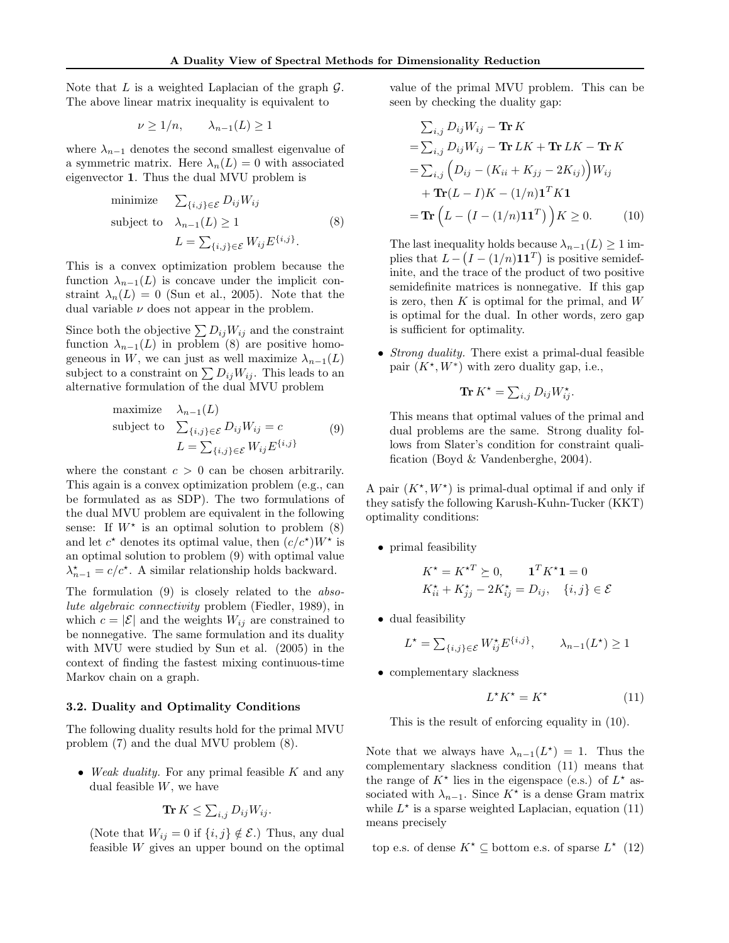Note that  $L$  is a weighted Laplacian of the graph  $\mathcal{G}$ . The above linear matrix inequality is equivalent to

$$
\nu \ge 1/n, \qquad \lambda_{n-1}(L) \ge 1
$$

where  $\lambda_{n-1}$  denotes the second smallest eigenvalue of a symmetric matrix. Here  $\lambda_n(L) = 0$  with associated eigenvector 1. Thus the dual MVU problem is

minimize 
$$
\sum_{\{i,j\} \in \mathcal{E}} D_{ij} W_{ij}
$$
  
subject to  $\lambda_{n-1}(L) \ge 1$  (8)  

$$
L = \sum_{\{i,j\} \in \mathcal{E}} W_{ij} E^{\{i,j\}}.
$$

This is a convex optimization problem because the function  $\lambda_{n-1}(L)$  is concave under the implicit constraint  $\lambda_n(L) = 0$  (Sun et al., 2005). Note that the dual variable  $\nu$  does not appear in the problem.

Since both the objective  $\sum D_{ij}W_{ij}$  and the constraint function  $\lambda_{n-1}(L)$  in problem (8) are positive homogeneous in W, we can just as well maximize  $\lambda_{n-1}(L)$ subject to a constraint on  $\sum D_{ij}W_{ij}$ . This leads to an alternative formulation of the dual MVU problem

maximize 
$$
\lambda_{n-1}(L)
$$
  
\nsubject to  $\sum_{\{i,j\} \in \mathcal{E}} D_{ij} W_{ij} = c$  (9)  
\n
$$
L = \sum_{\{i,j\} \in \mathcal{E}} W_{ij} E^{\{i,j\}}
$$

where the constant  $c > 0$  can be chosen arbitrarily. This again is a convex optimization problem (e.g., can be formulated as as SDP). The two formulations of the dual MVU problem are equivalent in the following sense: If  $W^*$  is an optimal solution to problem  $(8)$ and let  $c^*$  denotes its optimal value, then  $(c/c^*)W^*$  is an optimal solution to problem (9) with optimal value  $\lambda_{n-1}^{\star} = c/c^{\star}$ . A similar relationship holds backward.

The formulation (9) is closely related to the absolute algebraic connectivity problem (Fiedler, 1989), in which  $c = |\mathcal{E}|$  and the weights  $W_{ij}$  are constrained to be nonnegative. The same formulation and its duality with MVU were studied by Sun et al. (2005) in the context of finding the fastest mixing continuous-time Markov chain on a graph.

#### 3.2. Duality and Optimality Conditions

The following duality results hold for the primal MVU problem (7) and the dual MVU problem (8).

• Weak duality. For any primal feasible  $K$  and any dual feasible  $W$ , we have

$$
\mathbf{Tr}\,K \leq \sum_{i,j} D_{ij} W_{ij}.
$$

(Note that  $W_{ij} = 0$  if  $\{i, j\} \notin \mathcal{E}$ .) Thus, any dual feasible  $W$  gives an upper bound on the optimal

value of the primal MVU problem. This can be seen by checking the duality gap:

$$
\sum_{i,j} D_{ij} W_{ij} - \mathbf{Tr} K
$$
  
= 
$$
\sum_{i,j} D_{ij} W_{ij} - \mathbf{Tr} LK + \mathbf{Tr} LK - \mathbf{Tr} K
$$
  
= 
$$
\sum_{i,j} \left( D_{ij} - (K_{ii} + K_{jj} - 2K_{ij}) \right) W_{ij}
$$
  
+ 
$$
\mathbf{Tr} (L - I)K - (1/n) \mathbf{1}^T K \mathbf{1}
$$
  
= 
$$
\mathbf{Tr} \left( L - \left( I - (1/n) \mathbf{1} \mathbf{1}^T \right) \right) K \geq 0.
$$
 (10)

The last inequality holds because  $\lambda_{n-1}(L) \geq 1$  implies that  $L - (I - (1/n)\mathbf{1}\mathbf{1}^T)$  is positive semidefinite, and the trace of the product of two positive semidefinite matrices is nonnegative. If this gap is zero, then  $K$  is optimal for the primal, and  $W$ is optimal for the dual. In other words, zero gap is sufficient for optimality.

• *Strong duality*. There exist a primal-dual feasible pair  $(K^*, W^*)$  with zero duality gap, i.e.,

$$
\mathbf{Tr}\,K^{\star} = \sum_{i,j} D_{ij} W_{ij}^{\star}.
$$

This means that optimal values of the primal and dual problems are the same. Strong duality follows from Slater's condition for constraint qualification (Boyd & Vandenberghe, 2004).

A pair  $(K^*, W^*)$  is primal-dual optimal if and only if they satisfy the following Karush-Kuhn-Tucker (KKT) optimality conditions:

• primal feasibility

$$
K^{\star} = K^{\star T} \succeq 0, \qquad \mathbf{1}^{T} K^{\star} \mathbf{1} = 0
$$
  

$$
K_{ii}^{\star} + K_{jj}^{\star} - 2K_{ij}^{\star} = D_{ij}, \quad \{i, j\} \in \mathcal{E}
$$

• dual feasibility

$$
L^* = \sum_{\{i,j\} \in \mathcal{E}} W_{ij}^* E^{\{i,j\}}, \qquad \lambda_{n-1}(L^*) \ge 1
$$

• complementary slackness

$$
L^*K^* = K^* \tag{11}
$$

This is the result of enforcing equality in (10).

Note that we always have  $\lambda_{n-1}(L^*) = 1$ . Thus the complementary slackness condition (11) means that the range of  $K^*$  lies in the eigenspace (e.s.) of  $L^*$  associated with  $\lambda_{n-1}$ . Since K<sup>\*</sup> is a dense Gram matrix while  $L^*$  is a sparse weighted Laplacian, equation (11) means precisely

top e.s. of dense  $K^* \subseteq$  bottom e.s. of sparse  $L^*$  (12)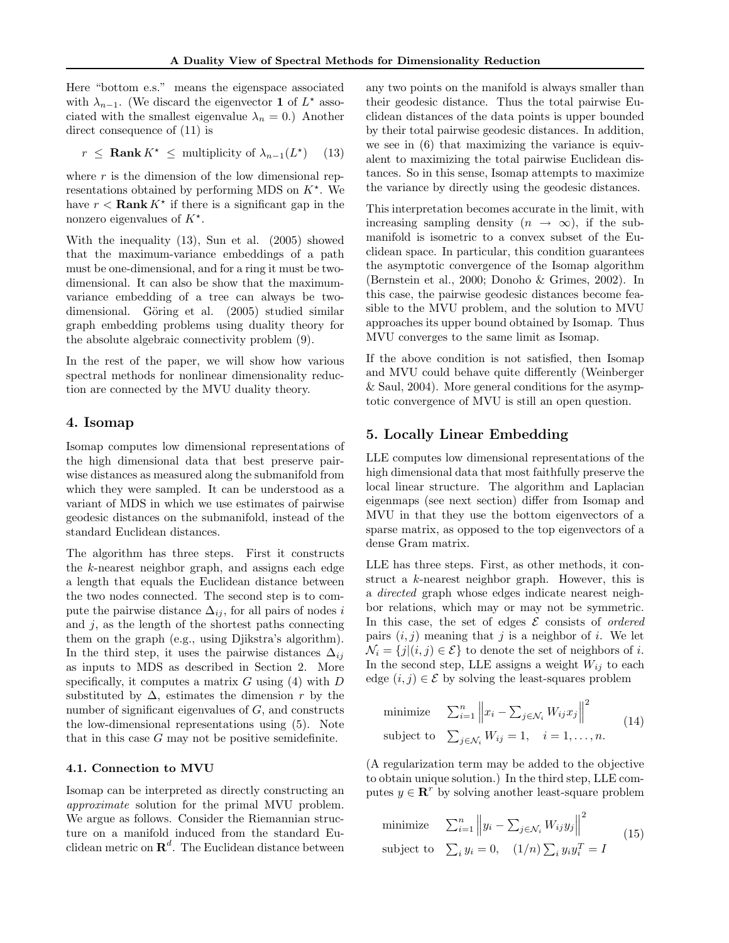Here "bottom e.s." means the eigenspace associated with  $\lambda_{n-1}$ . (We discard the eigenvector 1 of  $L^*$  associated with the smallest eigenvalue  $\lambda_n = 0$ .) Another direct consequence of (11) is

$$
r \leq \text{Rank } K^{\star} \leq \text{ multiplicity of } \lambda_{n-1}(L^{\star}) \quad (13)
$$

where  $r$  is the dimension of the low dimensional representations obtained by performing MDS on  $K^*$ . We have  $r <$  **Rank**  $K^*$  if there is a significant gap in the nonzero eigenvalues of  $K^*$ .

With the inequality (13), Sun et al. (2005) showed that the maximum-variance embeddings of a path must be one-dimensional, and for a ring it must be twodimensional. It can also be show that the maximumvariance embedding of a tree can always be twodimensional. Göring et al. (2005) studied similar graph embedding problems using duality theory for the absolute algebraic connectivity problem (9).

In the rest of the paper, we will show how various spectral methods for nonlinear dimensionality reduction are connected by the MVU duality theory.

### 4. Isomap

Isomap computes low dimensional representations of the high dimensional data that best preserve pairwise distances as measured along the submanifold from which they were sampled. It can be understood as a variant of MDS in which we use estimates of pairwise geodesic distances on the submanifold, instead of the standard Euclidean distances.

The algorithm has three steps. First it constructs the k-nearest neighbor graph, and assigns each edge a length that equals the Euclidean distance between the two nodes connected. The second step is to compute the pairwise distance  $\Delta_{ij}$ , for all pairs of nodes i and  $i$ , as the length of the shortest paths connecting them on the graph (e.g., using Djikstra's algorithm). In the third step, it uses the pairwise distances  $\Delta_{ij}$ as inputs to MDS as described in Section 2. More specifically, it computes a matrix  $G$  using (4) with  $D$ substituted by  $\Delta$ , estimates the dimension r by the number of significant eigenvalues of G, and constructs the low-dimensional representations using (5). Note that in this case  $G$  may not be positive semidefinite.

#### 4.1. Connection to MVU

Isomap can be interpreted as directly constructing an approximate solution for the primal MVU problem. We argue as follows. Consider the Riemannian structure on a manifold induced from the standard Euclidean metric on  $\mathbf{R}^d$ . The Euclidean distance between

any two points on the manifold is always smaller than their geodesic distance. Thus the total pairwise Euclidean distances of the data points is upper bounded by their total pairwise geodesic distances. In addition, we see in (6) that maximizing the variance is equivalent to maximizing the total pairwise Euclidean distances. So in this sense, Isomap attempts to maximize the variance by directly using the geodesic distances.

This interpretation becomes accurate in the limit, with increasing sampling density  $(n \rightarrow \infty)$ , if the submanifold is isometric to a convex subset of the Euclidean space. In particular, this condition guarantees the asymptotic convergence of the Isomap algorithm (Bernstein et al., 2000; Donoho & Grimes, 2002). In this case, the pairwise geodesic distances become feasible to the MVU problem, and the solution to MVU approaches its upper bound obtained by Isomap. Thus MVU converges to the same limit as Isomap.

If the above condition is not satisfied, then Isomap and MVU could behave quite differently (Weinberger & Saul, 2004). More general conditions for the asymptotic convergence of MVU is still an open question.

# 5. Locally Linear Embedding

LLE computes low dimensional representations of the high dimensional data that most faithfully preserve the local linear structure. The algorithm and Laplacian eigenmaps (see next section) differ from Isomap and MVU in that they use the bottom eigenvectors of a sparse matrix, as opposed to the top eigenvectors of a dense Gram matrix.

LLE has three steps. First, as other methods, it construct a k-nearest neighbor graph. However, this is a directed graph whose edges indicate nearest neighbor relations, which may or may not be symmetric. In this case, the set of edges  $\mathcal E$  consists of *ordered* pairs  $(i, j)$  meaning that j is a neighbor of i. We let  $\mathcal{N}_i = \{j | (i, j) \in \mathcal{E} \}$  to denote the set of neighbors of i. In the second step, LLE assigns a weight  $W_{ij}$  to each edge  $(i, j) \in \mathcal{E}$  by solving the least-squares problem

minimize 
$$
\sum_{i=1}^{n} ||x_i - \sum_{j \in \mathcal{N}_i} W_{ij} x_j||^2
$$
  
subject to  $\sum_{j \in \mathcal{N}_i} W_{ij} = 1, \quad i = 1, ..., n.$  (14)

(A regularization term may be added to the objective to obtain unique solution.) In the third step, LLE computes  $y \in \mathbb{R}^r$  by solving another least-square problem

minimize 
$$
\sum_{i=1}^{n} ||y_i - \sum_{j \in \mathcal{N}_i} W_{ij} y_j||^2
$$
  
subject to  $\sum_i y_i = 0$ ,  $(1/n) \sum_i y_i y_i^T = I$  (15)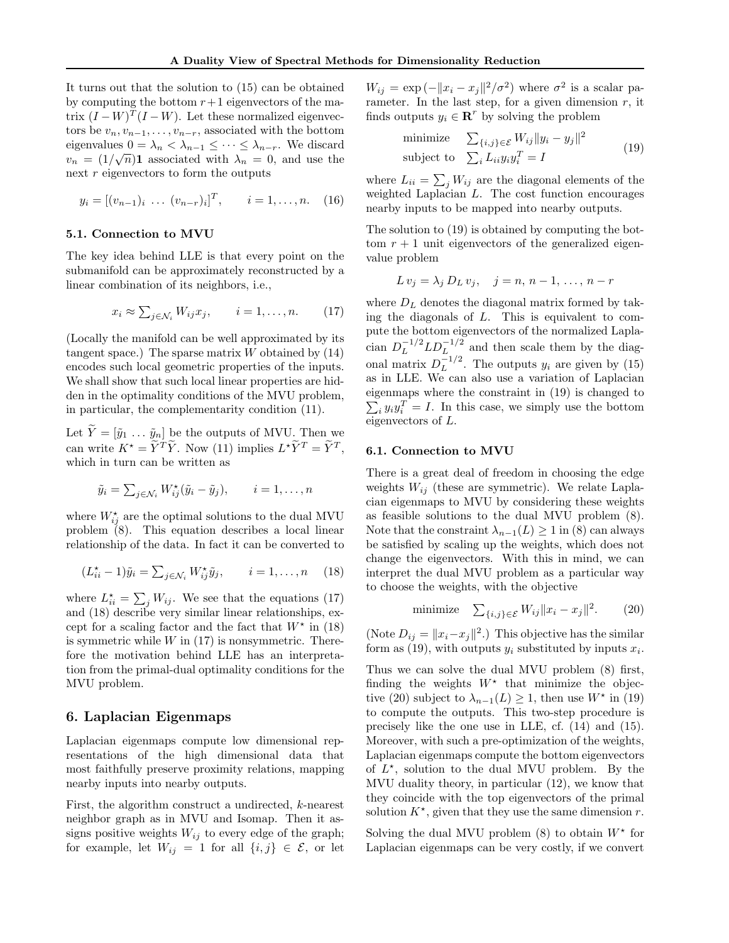It turns out that the solution to (15) can be obtained by computing the bottom  $r+1$  eigenvectors of the matrix  $(I - W)^T (I - W)$ . Let these normalized eigenvectors be  $v_n, v_{n-1}, \ldots, v_{n-r}$ , associated with the bottom eigenvalues  $0 = \lambda_n < \lambda_{n-1} \leq \cdots \leq \lambda_{n-r}$ . We discard  $v_n = (1/\sqrt{n})$ 1 associated with  $\lambda_n = 0$ , and use the next  $r$  eigenvectors to form the outputs

$$
y_i = [(v_{n-1})_i \dots (v_{n-r})_i]^T, \qquad i = 1, \dots, n. \quad (16)
$$

#### 5.1. Connection to MVU

The key idea behind LLE is that every point on the submanifold can be approximately reconstructed by a linear combination of its neighbors, i.e.,

$$
x_i \approx \sum_{j \in \mathcal{N}_i} W_{ij} x_j, \qquad i = 1, \dots, n. \tag{17}
$$

(Locally the manifold can be well approximated by its tangent space.) The sparse matrix  $W$  obtained by  $(14)$ encodes such local geometric properties of the inputs. We shall show that such local linear properties are hidden in the optimality conditions of the MVU problem, in particular, the complementarity condition (11).

Let  $Y=[\tilde{y}_1 \dots \tilde{y}_n]$  be the outputs of MVU. Then we can write  $K^* = \tilde{Y}^T \tilde{Y}$ . Now (11) implies  $L^* \tilde{Y}^T = \tilde{Y}^T$ , which in turn can be written as

$$
\tilde{y}_i = \sum_{j \in \mathcal{N}_i} W_{ij}^{\star} (\tilde{y}_i - \tilde{y}_j), \qquad i = 1, \dots, n
$$

where  $W_{ij}^{\star}$  are the optimal solutions to the dual MVU problem (8). This equation describes a local linear relationship of the data. In fact it can be converted to

$$
(L_{ii}^* - 1)\tilde{y}_i = \sum_{j \in \mathcal{N}_i} W_{ij}^* \tilde{y}_j, \qquad i = 1, \dots, n \quad (18)
$$

where  $L_{ii}^{\star} = \sum_j W_{ij}$ . We see that the equations (17) and  $(18)$  describe very similar linear relationships, except for a scaling factor and the fact that  $W^*$  in (18) is symmetric while  $W$  in  $(17)$  is nonsymmetric. Therefore the motivation behind LLE has an interpretation from the primal-dual optimality conditions for the MVU problem.

# 6. Laplacian Eigenmaps

Laplacian eigenmaps compute low dimensional representations of the high dimensional data that most faithfully preserve proximity relations, mapping nearby inputs into nearby outputs.

First, the algorithm construct a undirected, k-nearest neighbor graph as in MVU and Isomap. Then it assigns positive weights  $W_{ij}$  to every edge of the graph; for example, let  $W_{ij} = 1$  for all  $\{i, j\} \in \mathcal{E}$ , or let

 $W_{ij} = \exp(-||x_i - x_j||^2/\sigma^2)$  where  $\sigma^2$  is a scalar parameter. In the last step, for a given dimension  $r$ , it finds outputs  $y_i \in \mathbb{R}^r$  by solving the problem

minimize 
$$
\sum_{\{i,j\} \in \mathcal{E}} W_{ij} ||y_i - y_j||^2
$$
  
subject to  $\sum_i L_{ii} y_i y_i^T = I$  (19)

where  $L_{ii} = \sum_j W_{ij}$  are the diagonal elements of the weighted Laplacian L. The cost function encourages nearby inputs to be mapped into nearby outputs.

The solution to (19) is obtained by computing the bottom  $r + 1$  unit eigenvectors of the generalized eigenvalue problem

$$
L v_j = \lambda_j D_L v_j, \quad j = n, n-1, \ldots, n-r
$$

where  $D<sub>L</sub>$  denotes the diagonal matrix formed by taking the diagonals of L. This is equivalent to compute the bottom eigenvectors of the normalized Laplacian  $D_L^{-1/2}LD_L^{-1/2}$  and then scale them by the diagonal matrix  $D_L^{-1/2}$  $L^{-1/2}$ . The outputs  $y_i$  are given by (15) as in LLE. We can also use a variation of Laplacian eigenmaps where the constraint in (19) is changed to  $\sum_i y_i y_i^T = I$ . In this case, we simply use the bottom eigenvectors of L.

#### 6.1. Connection to MVU

There is a great deal of freedom in choosing the edge weights  $W_{ij}$  (these are symmetric). We relate Laplacian eigenmaps to MVU by considering these weights as feasible solutions to the dual MVU problem (8). Note that the constraint  $\lambda_{n-1}(L) \geq 1$  in (8) can always be satisfied by scaling up the weights, which does not change the eigenvectors. With this in mind, we can interpret the dual MVU problem as a particular way to choose the weights, with the objective

minimize 
$$
\sum_{\{i,j\}\in\mathcal{E}} W_{ij} ||x_i - x_j||^2.
$$
 (20)

(Note  $D_{ij} = ||x_i - x_j||^2$ .) This objective has the similar form as (19), with outputs  $y_i$  substituted by inputs  $x_i$ .

Thus we can solve the dual MVU problem (8) first, finding the weights  $W^*$  that minimize the objective (20) subject to  $\lambda_{n-1}(L) \geq 1$ , then use  $W^*$  in (19) to compute the outputs. This two-step procedure is precisely like the one use in LLE, cf. (14) and (15). Moreover, with such a pre-optimization of the weights, Laplacian eigenmaps compute the bottom eigenvectors of  $L^*$ , solution to the dual MVU problem. By the MVU duality theory, in particular (12), we know that they coincide with the top eigenvectors of the primal solution  $K^*$ , given that they use the same dimension r.

Solving the dual MVU problem  $(8)$  to obtain  $W^*$  for Laplacian eigenmaps can be very costly, if we convert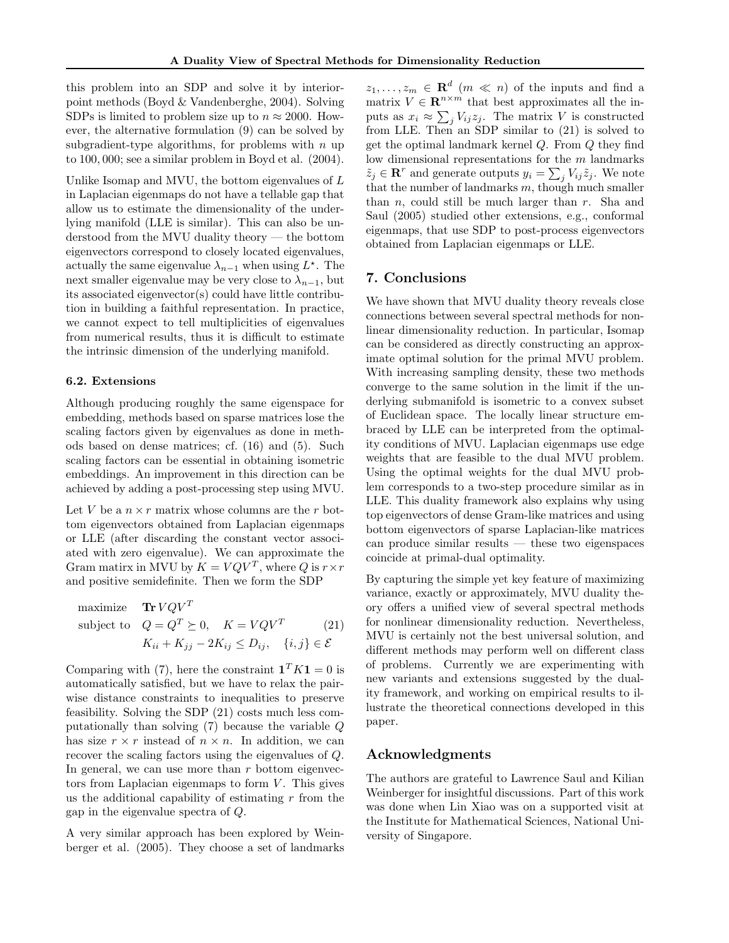this problem into an SDP and solve it by interiorpoint methods (Boyd & Vandenberghe, 2004). Solving SDPs is limited to problem size up to  $n \approx 2000$ . However, the alternative formulation (9) can be solved by subgradient-type algorithms, for problems with  $n$  up to 100, 000; see a similar problem in Boyd et al. (2004).

Unlike Isomap and MVU, the bottom eigenvalues of L in Laplacian eigenmaps do not have a tellable gap that allow us to estimate the dimensionality of the underlying manifold (LLE is similar). This can also be understood from the MVU duality theory — the bottom eigenvectors correspond to closely located eigenvalues, actually the same eigenvalue  $\lambda_{n-1}$  when using  $L^*$ . The next smaller eigenvalue may be very close to  $\lambda_{n-1}$ , but its associated eigenvector(s) could have little contribution in building a faithful representation. In practice, we cannot expect to tell multiplicities of eigenvalues from numerical results, thus it is difficult to estimate the intrinsic dimension of the underlying manifold.

# 6.2. Extensions

Although producing roughly the same eigenspace for embedding, methods based on sparse matrices lose the scaling factors given by eigenvalues as done in methods based on dense matrices; cf. (16) and (5). Such scaling factors can be essential in obtaining isometric embeddings. An improvement in this direction can be achieved by adding a post-processing step using MVU.

Let V be a  $n \times r$  matrix whose columns are the r bottom eigenvectors obtained from Laplacian eigenmaps or LLE (after discarding the constant vector associated with zero eigenvalue). We can approximate the Gram matirx in MVU by  $K = VQV^T$ , where  $Q$  is  $r \times r$ and positive semidefinite. Then we form the SDP

maximize **Tr** 
$$
VQV^T
$$
  
subject to  $Q = Q^T \succeq 0$ ,  $K = VQV^T$  (21)  
 $K_{ii} + K_{jj} - 2K_{ij} \le D_{ij}$ ,  $\{i, j\} \in \mathcal{E}$ 

Comparing with (7), here the constraint  $\mathbf{1}^T K \mathbf{1} = 0$  is automatically satisfied, but we have to relax the pairwise distance constraints to inequalities to preserve feasibility. Solving the SDP (21) costs much less computationally than solving (7) because the variable Q has size  $r \times r$  instead of  $n \times n$ . In addition, we can recover the scaling factors using the eigenvalues of Q. In general, we can use more than  $r$  bottom eigenvectors from Laplacian eigenmaps to form  $V$ . This gives us the additional capability of estimating  $r$  from the gap in the eigenvalue spectra of Q.

A very similar approach has been explored by Weinberger et al. (2005). They choose a set of landmarks

 $z_1, \ldots, z_m \in \mathbf{R}^d \ (m \ll n)$  of the inputs and find a matrix  $V \in \mathbb{R}^{n \times m}$  that best approximates all the inputs as  $x_i \approx \sum_j V_{ij} z_j$ . The matrix V is constructed from LLE. Then an SDP similar to  $(21)$  is solved to get the optimal landmark kernel Q. From Q they find low dimensional representations for the m landmarks  $\tilde{z}_j \in \mathbf{R}^r$  and generate outputs  $y_i = \sum_j V_{ij} \tilde{z}_j$ . We note that the number of landmarks  $m$ , though much smaller than  $n$ , could still be much larger than  $r$ . Sha and Saul (2005) studied other extensions, e.g., conformal eigenmaps, that use SDP to post-process eigenvectors obtained from Laplacian eigenmaps or LLE.

# 7. Conclusions

We have shown that MVU duality theory reveals close connections between several spectral methods for nonlinear dimensionality reduction. In particular, Isomap can be considered as directly constructing an approximate optimal solution for the primal MVU problem. With increasing sampling density, these two methods converge to the same solution in the limit if the underlying submanifold is isometric to a convex subset of Euclidean space. The locally linear structure embraced by LLE can be interpreted from the optimality conditions of MVU. Laplacian eigenmaps use edge weights that are feasible to the dual MVU problem. Using the optimal weights for the dual MVU problem corresponds to a two-step procedure similar as in LLE. This duality framework also explains why using top eigenvectors of dense Gram-like matrices and using bottom eigenvectors of sparse Laplacian-like matrices can produce similar results — these two eigenspaces coincide at primal-dual optimality.

By capturing the simple yet key feature of maximizing variance, exactly or approximately, MVU duality theory offers a unified view of several spectral methods for nonlinear dimensionality reduction. Nevertheless, MVU is certainly not the best universal solution, and different methods may perform well on different class of problems. Currently we are experimenting with new variants and extensions suggested by the duality framework, and working on empirical results to illustrate the theoretical connections developed in this paper.

# Acknowledgments

The authors are grateful to Lawrence Saul and Kilian Weinberger for insightful discussions. Part of this work was done when Lin Xiao was on a supported visit at the Institute for Mathematical Sciences, National University of Singapore.